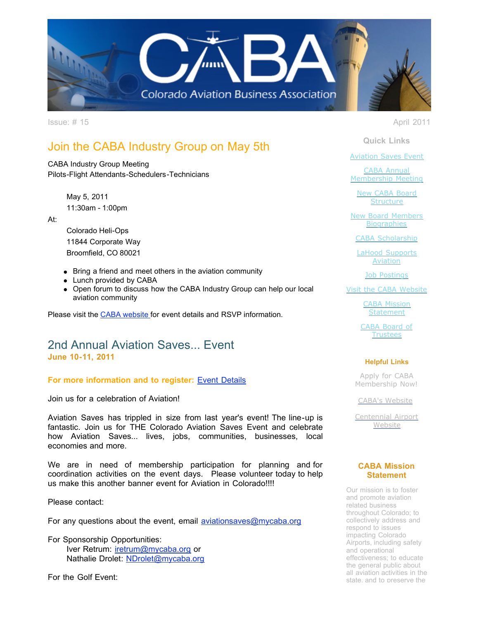

Issue: # 15 April 2011

# Join the CABA Industry Group on May 5th

CABA Industry Group Meeting Pilots-Flight Attendants-Schedulers-Technicians

> May 5, 2011 11:30am - 1:00pm

At:

Colorado Heli-Ops 11844 Corporate Way Broomfield, CO 80021

- Bring a friend and meet others in the aviation community
- Lunch provided by CABA
- Open forum to discuss how the CABA Industry Group can help our local aviation community

Please visit the [CABA website](http://r20.rs6.net/tn.jsp?llr=tkebgpcab&et=1104984753201&s=0&e=001XZU7I8sijSmEzmwLGud5qWYcvMKOwOVtrhrXci1SG4nNHu8wfz5aQObvR5gESSd4Rwgt9un3nuFWAUaQiQ2687NalOkyyeTyEMtM_n6cPUk=) for event details and RSVP information.

## 2nd Annual Aviation Saves... Event **June 10-11, 2011**

## **For more information and to register:** [Event Details](http://r20.rs6.net/tn.jsp?llr=tkebgpcab&et=1104984753201&s=0&e=001XZU7I8sijSmEzmwLGud5qWYcvMKOwOVtrhrXci1SG4nNHu8wfz5aQObvR5gESSd4Rwgt9un3nuFWAUaQiQ2687NalOkyyeTyJHuzuPyZLnr_MYJp7ftRVD3iU6LT-zl9rnjb-oWCodyIbDFG6SyQOS32YH7PkONW6IfYMCiYtwF9neaXwmaLxjwmtiYYMstJ)

Join us for a celebration of Aviation!

Aviation Saves has trippled in size from last year's event! The line-up is fantastic. Join us for THE Colorado Aviation Saves Event and celebrate how Aviation Saves... lives, jobs, communities, businesses, local economies and more.

We are in need of membership participation for planning and for coordination activities on the event days. Please volunteer today to help us make this another banner event for Aviation in Colorado!!!!

Please contact:

For any questions about the event, email [aviationsaves@mycaba.org](mailto:aviationsaves@mycaba.org)

For Sponsorship Opportunities: Iver Retrum: [iretrum@mycaba.org](mailto:iretrum@mycaba.org) or Nathalie Drolet: [NDrolet@mycaba.org](mailto:ndrolet@mycaba.org)

For the Golf Event:

**Quick Links**

[Aviation Saves Event](https://ui.constantcontact.com/visualeditor/visual_editor_preview.jsp?agent.uid=1104984753201&format=html&printFrame=true#LETTER.BLOCK6)

CABA Annual [Membership Meeting](https://ui.constantcontact.com/visualeditor/visual_editor_preview.jsp?agent.uid=1104984753201&format=html&printFrame=true#LETTER.BLOCK4)

[New CABA Board](https://ui.constantcontact.com/visualeditor/visual_editor_preview.jsp?agent.uid=1104984753201&format=html&printFrame=true#LETTER.BLOCK30) **Structure** 

**[New Board Members](https://ui.constantcontact.com/visualeditor/visual_editor_preview.jsp?agent.uid=1104984753201&format=html&printFrame=true#LETTER.BLOCK14) Biographies** 

[CABA Scholarship](https://ui.constantcontact.com/visualeditor/visual_editor_preview.jsp?agent.uid=1104984753201&format=html&printFrame=true#LETTER.BLOCK34)

[LaHood Supports](https://ui.constantcontact.com/visualeditor/visual_editor_preview.jsp?agent.uid=1104984753201&format=html&printFrame=true#LETTER.BLOCK33) **Aviation** 

[Job Postings](https://ui.constantcontact.com/visualeditor/visual_editor_preview.jsp?agent.uid=1104984753201&format=html&printFrame=true#LETTER.BLOCK16)

[Visit the CABA Website](https://ui.constantcontact.com/visualeditor/visual_editor_preview.jsp?agent.uid=1104984753201&format=html&printFrame=true#LETTER.BLOCK18)

[CABA Mission](https://ui.constantcontact.com/visualeditor/visual_editor_preview.jsp?agent.uid=1104984753201&format=html&printFrame=true#LETTER.BLOCK25) **Statement** 

[CABA Board of](https://ui.constantcontact.com/visualeditor/visual_editor_preview.jsp?agent.uid=1104984753201&format=html&printFrame=true#LETTER.BLOCK27) **Trustees** 

### **Helpful Links**

Apply for CABA [Membership Now!](http://r20.rs6.net/tn.jsp?llr=tkebgpcab&et=1104984753201&s=0&e=001XZU7I8sijSmEzmwLGud5qWYcvMKOwOVtrhrXci1SG4nNHu8wfz5aQObvR5gESSd4Rwgt9un3nuFWAUaQiQ2687NalOkyyeTyJHuzuPyZLnqrQIkB6fKKwJhBss0yuuapBB8hbc5_g3gYYCj3-QPRMQ==)

[CABA's Website](http://r20.rs6.net/tn.jsp?llr=tkebgpcab&et=1104984753201&s=0&e=001XZU7I8sijSmEzmwLGud5qWYcvMKOwOVtrhrXci1SG4nNHu8wfz5aQObvR5gESSd4Rwgt9un3nuFWAUaQiQ2687NalOkyyeTyJHuzuPyZLnqIQUABks8UYw==)

[Centennial Airport](http://r20.rs6.net/tn.jsp?llr=tkebgpcab&et=1104984753201&s=0&e=001XZU7I8sijSmEzmwLGud5qWYcvMKOwOVtrhrXci1SG4nNHu8wfz5aQObvR5gESSd4Rwgt9un3nuFWAUaQiQ268wQYa-4rheYBZZoUqsvZk_fCC-UxIWRvuxFF1ujdcAyo) **Website** 

### **CABA Mission Statement**

Our mission is to foster and promote aviation related business throughout Colorado; to collectively address and respond to issues impacting Colorado Airports, including safety and operational effectiveness; to educate the general public about all aviation activities in the state, and to preserve the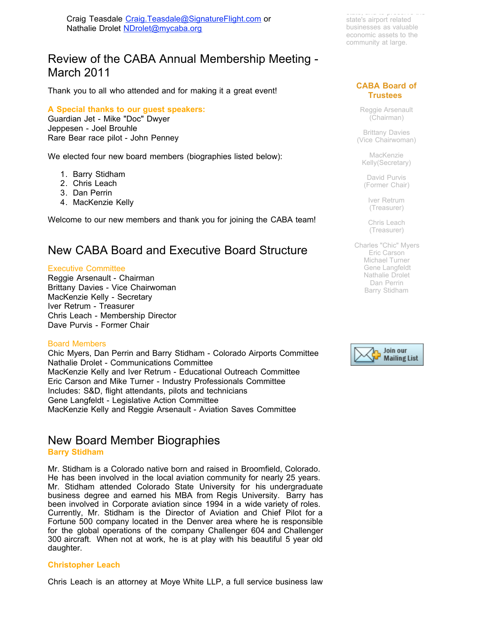Craig Teasdale [Craig.Teasdale@SignatureFlight.com](mailto:Craig.Teasdale@SignatureFlight.com) or Nathalie Drolet [NDrolet@mycaba.org](mailto:ndrolet@mycaba.org)

# Review of the CABA Annual Membership Meeting - March 2011

Thank you to all who attended and for making it a great event!

### **A Special thanks to our guest speakers:**

Guardian Jet - Mike "Doc" Dwyer Jeppesen - Joel Brouhle Rare Bear race pilot - John Penney

We elected four new board members (biographies listed below):

- 1. Barry Stidham
- 2. Chris Leach
- 3. Dan Perrin
- 4. MacKenzie Kelly

Welcome to our new members and thank you for joining the CABA team!

# New CABA Board and Executive Board Structure

#### Executive Committee

Reggie Arsenault - Chairman Brittany Davies - Vice Chairwoman MacKenzie Kelly - Secretary Iver Retrum - Treasurer Chris Leach - Membership Director Dave Purvis - Former Chair

#### Board Members

Chic Myers, Dan Perrin and Barry Stidham - Colorado Airports Committee Nathalie Drolet - Communications Committee MacKenzie Kelly and Iver Retrum - Educational Outreach Committee Eric Carson and Mike Turner - Industry Professionals Committee Includes: S&D, flight attendants, pilots and technicians Gene Langfeldt - Legislative Action Committee MacKenzie Kelly and Reggie Arsenault - Aviation Saves Committee

# New Board Member Biographies

### **Barry Stidham**

Mr. Stidham is a Colorado native born and raised in Broomfield, Colorado. He has been involved in the local aviation community for nearly 25 years. Mr. Stidham attended Colorado State University for his undergraduate business degree and earned his MBA from Regis University. Barry has been involved in Corporate aviation since 1994 in a wide variety of roles. Currently, Mr. Stidham is the Director of Aviation and Chief Pilot for a Fortune 500 company located in the Denver area where he is responsible for the global operations of the company Challenger 604 and Challenger 300 aircraft. When not at work, he is at play with his beautiful 5 year old daughter.

#### **Christopher Leach**

Chris Leach is an attorney at Moye White LLP, a full service business law

state, and to preserve the state's airport related businesses as valuable economic assets to the community at large.

### **CABA Board of Trustees**

Reggie Arsenault (Chairman)

Brittany Davies (Vice Chairwoman)

MacKenzie Kelly(Secretary)

David Purvis (Former Chair)

Iver Retrum (Treasurer)

Chris Leach (Treasurer)

Charles "Chic" Myers Eric Carson Michael Turner Gene Langfeldt Nathalie Drolet Dan Perrin Barry Stidham

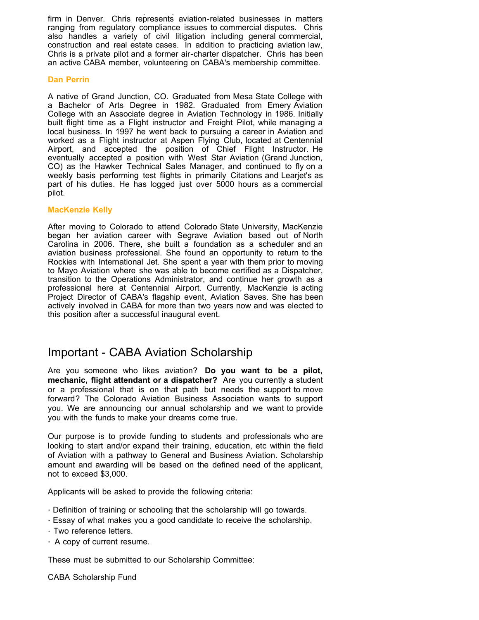firm in Denver. Chris represents aviation-related businesses in matters ranging from regulatory compliance issues to commercial disputes. Chris also handles a variety of civil litigation including general commercial, construction and real estate cases. In addition to practicing aviation law, Chris is a private pilot and a former air-charter dispatcher. Chris has been an active CABA member, volunteering on CABA's membership committee.

### **Dan Perrin**

A native of Grand Junction, CO. Graduated from Mesa State College with a Bachelor of Arts Degree in 1982. Graduated from Emery Aviation College with an Associate degree in Aviation Technology in 1986. Initially built flight time as a Flight instructor and Freight Pilot, while managing a local business. In 1997 he went back to pursuing a career in Aviation and worked as a Flight instructor at Aspen Flying Club, located at Centennial Airport, and accepted the position of Chief Flight Instructor. He eventually accepted a position with West Star Aviation (Grand Junction, CO) as the Hawker Technical Sales Manager, and continued to fly on a weekly basis performing test flights in primarily Citations and Learjet's as part of his duties. He has logged just over 5000 hours as a commercial pilot.

### **MacKenzie Kelly**

After moving to Colorado to attend Colorado State University, MacKenzie began her aviation career with Segrave Aviation based out of North Carolina in 2006. There, she built a foundation as a scheduler and an aviation business professional. She found an opportunity to return to the Rockies with International Jet. She spent a year with them prior to moving to Mayo Aviation where she was able to become certified as a Dispatcher, transition to the Operations Administrator, and continue her growth as a professional here at Centennial Airport. Currently, MacKenzie is acting Project Director of CABA's flagship event, Aviation Saves. She has been actively involved in CABA for more than two years now and was elected to this position after a successful inaugural event.

## Important - CABA Aviation Scholarship

Are you someone who likes aviation? **Do you want to be a pilot, mechanic, flight attendant or a dispatcher?** Are you currently a student or a professional that is on that path but needs the support to move forward? The Colorado Aviation Business Association wants to support you. We are announcing our annual scholarship and we want to provide you with the funds to make your dreams come true.

Our purpose is to provide funding to students and professionals who are looking to start and/or expand their training, education, etc within the field of Aviation with a pathway to General and Business Aviation. Scholarship amount and awarding will be based on the defined need of the applicant, not to exceed \$3,000.

Applicants will be asked to provide the following criteria:

- · Definition of training or schooling that the scholarship will go towards.
- · Essay of what makes you a good candidate to receive the scholarship.
- · Two reference letters.
- · A copy of current resume.

These must be submitted to our Scholarship Committee:

CABA Scholarship Fund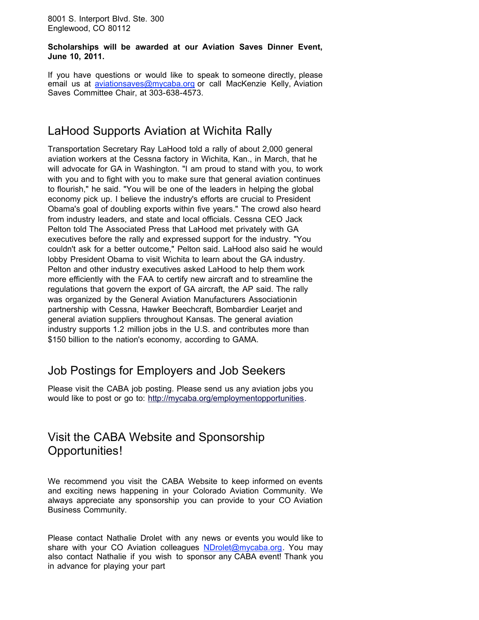8001 S. Interport Blvd. Ste. 300 Englewood, CO 80112

**Scholarships will be awarded at our Aviation Saves Dinner Event, June 10, 2011.**

If you have questions or would like to speak to someone directly, please email us at *[aviationsaves@mycaba.org](mailto:aviationsaves@mycaba.org)* or call MacKenzie Kelly, Aviation Saves Committee Chair, at 303-638-4573.

# LaHood Supports Aviation at Wichita Rally

Transportation Secretary Ray LaHood told a rally of about 2,000 general aviation workers at the Cessna factory in Wichita, Kan., in March, that he will advocate for GA in Washington. "I am proud to stand with you, to work with you and to fight with you to make sure that general aviation continues to flourish," he said. "You will be one of the leaders in helping the global economy pick up. I believe the industry's efforts are crucial to President Obama's goal of doubling exports within five years." The crowd also heard from industry leaders, and state and local officials. Cessna CEO Jack Pelton told [The Associated Press](http://r20.rs6.net/tn.jsp?llr=tkebgpcab&et=1104984753201&s=0&e=001XZU7I8sijSmEzmwLGud5qWYcvMKOwOVtrhrXci1SG4nNHu8wfz5aQObvR5gESSd4Rwgt9un3nuFN1JTxDvDPte4Wbjmp_UjP89uQd0b-GDoCDcxWRorqOuTGH88XKmICZyunjU8t8EvPcLlSNaNMMzi_jZYC-e-gJYrIr_Tr2lkJ321MLjhE2ZyZ_sxtLdRXI784bgJbUoE=) that LaHood met privately with GA executives before the rally and expressed support for the industry. "You couldn't ask for a better outcome," Pelton said. LaHood also said he would lobby President Obama to visit Wichita to learn about the GA industry. Pelton and other industry executives asked LaHood to help them work more efficiently with the FAA to certify new aircraft and to streamline the regulations that govern the export of GA aircraft, the AP said. The rally was organized by the [General Aviation Manufacturers Associationi](http://r20.rs6.net/tn.jsp?llr=tkebgpcab&et=1104984753201&s=0&e=001XZU7I8sijSmEzmwLGud5qWYcvMKOwOVtrhrXci1SG4nNHu8wfz5aQObvR5gESSd4Rwgt9un3nuFWAUaQiQ2681A5-GmnlzlLGadsIsZwmd_nrIhvswVf9V7C518t_OYsRfYOsl3D2mYxO53hOb7QhIvzQsDdKPnD_TeBpu-D_KNFxaK4YubE3Ymn8_Mxq8ok65VhwiB-IQFKxojJeAp-oQykFEXB79LX3expjl3-XxrYLmqDioUzacfuOdyGBAbq)n partnership with Cessna, Hawker Beechcraft, Bombardier Learjet and general aviation suppliers throughout Kansas. The general aviation industry supports 1.2 million jobs in the U.S. and contributes more than \$150 billion to the nation's economy, according to GAMA.

# Job Postings for Employers and Job Seekers

Please visit the CABA job posting. Please send us any aviation jobs you would like to post or go to: [http://mycaba.org/employmentopportunities](http://r20.rs6.net/tn.jsp?llr=tkebgpcab&et=1104984753201&s=0&e=001XZU7I8sijSmEzmwLGud5qWYcvMKOwOVtrhrXci1SG4nNHu8wfz5aQObvR5gESSd4Rwgt9un3nuEEILwme8S5WRkAw0agGi0ZyCJmGdAsVL1eiFxDnANE473uY1HpyzbpDtayus8G9eQ=).

# Visit the CABA Website and Sponsorship Opportunities!

We recommend you visit the CABA Website to keep informed on events and exciting news happening in your Colorado Aviation Community. We always appreciate any sponsorship you can provide to your CO Aviation Business Community.

Please contact Nathalie Drolet with any news or events you would like to share with your CO Aviation colleagues [NDrolet@mycaba.org](mailto:NDrolet@mycaba.org). You may also contact Nathalie if you wish to sponsor any CABA event! Thank you in advance for playing your part